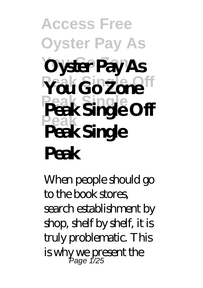## **Access Free Oyster Pay As Oyster Pay As**  $Y$ ou Go Zone<sup>ff</sup> **Peak Single Peak Single Off Peak Peak Single Peak**

When people should go to the book stores, search establishment by shop, shelf by shelf, it is truly problematic. This is why we present the Page 1/25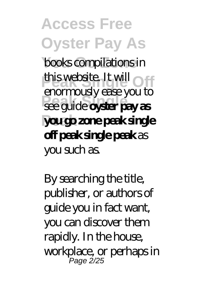**Access Free Oyster Pay As books compilations in** this website. It will **Peak Single** see guide **oyster pay as Peak you go zone peak single** enormously ease you to **off peak single peak** as you such as.

By searching the title, publisher, or authors of guide you in fact want, you can discover them rapidly. In the house, workplace, or perhaps in Page 2/25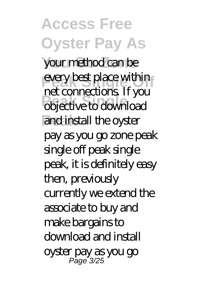**Access Free Oyster Pay As** your method can be every best place within **PEC CONDUCTED** IT you and install the oyster net connections. If you pay as you go zone peak single off peak single peak, it is definitely easy then, previously currently we extend the associate to buy and make bargains to download and install oyster pay as you go Page 3/25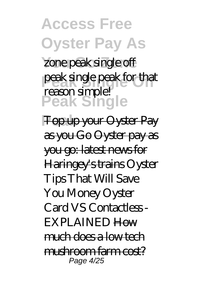**Access Free Oyster Pay As** zone peak single off peak single peak for that **Peak Single Peak** Top up your Oyster Pay reason simple! as you Go Oyster pay as you go: latest news for Haringey's trains *Oyster Tips That Will Save You Money Oyster Card VS Contactless - EXPLAINED* How much does a low tech  $m$ rd $m$ com farm cost? Page 4/25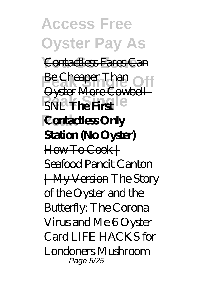**Access Free Oyster Pay As Contactless Fares Can Be Cheaper Than PEAK The First Peak Contactless Only** Oyster More Cowbell-**Station (No Oyster)** How To Cook+ Seafood Pancit Canton | My Version The Story of the Oyster and the Butterfly: The Corona Virus and Me 6 Oyster Card LIFE HACKS for Londoners *Mushroom* Page 5/25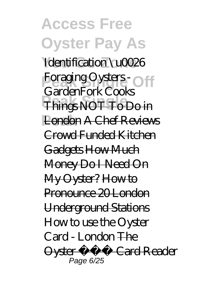**Access Free Oyster Pay As** *Identification \u0026 Foraging Oysters -*<br>*Combulador Cool* **Peak Single** Things NOT To Do in **Peak** London A Chef Reviews *GardenFork Cooks* Crowd Funded Kitchen Gadgets How Much Money Do I Need On My Oyster? How to Propounce 20 London Underground Stations *How to use the Oyster Card - London* The Oyster Card Reader Page 6/25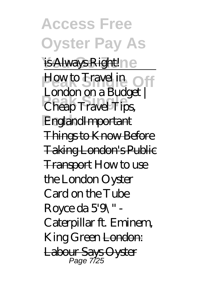**Access Free Oyster Pay As** is Always Right ne How to Travel in Off **Peak Single** Cheap Travel Tips, **Peak** EnglandImportant London on a Budget | Things to Know Before Taking London's Public **Transport How to use** the London Oyster Card on the Tube  $R$ oyce da  $59$ \" -Caterpillar ft. Eminem, King Green London: Labour Says Oyster Page 7/25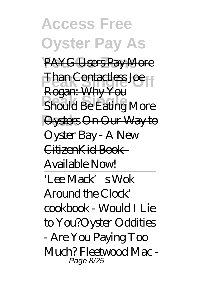**Access Free Oyster Pay As** PAYG Users Pay More **Phan Contactless Joe Peak Printing More Peak** Oysters On Our Way to Rogan: Why You Oyster Bay A New CitizenKid Book - Available Now! 'Lee Mack's Wok Around the Clock' cookbook - Would I Lie to You?*Oyster Oddities - Are You Paying Too Much? Fleetwood Mac -* Page 8/25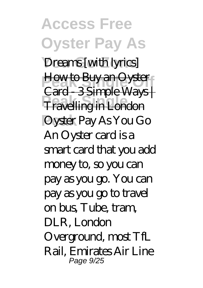**Access Free Oyster Pay As**  $D$ reams [with *lyrics*] **How to Buy an Oyster Pravelling in London Peak** Oyster Pay As You Go Card 3 Simple Ways | An Oyster card is a smart card that you add money to, so you can pay as you go. You can pay as you go to travel on bus, Tube, tram, DLR, London Overground, most TfL Rail, Emirates Air Line Page 9/25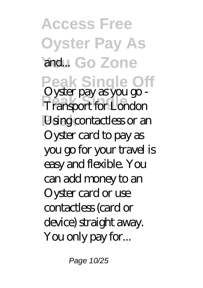**Access Free Oyster Pay As Yand...** Go Zone **Peak Single Off Peak Single** *<u>Using</u>* contactless or an Oyster pay as you go - Oyster card to pay as you go for your travel is easy and flexible. You can add money to an Oyster card or use contactless (card or device) straight away. You only pay for...

Page 10/25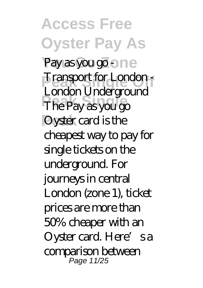**Access Free Oyster Pay As** Pay as you go - ne **Pransport for London Peak Single Peak** Oyster card is the London Underground cheapest way to pay for single tickets on the underground. For journeys in central London (zone 1), ticket prices are more than 50% cheaper with an Oyster card. Here's a comparison between Page 11/25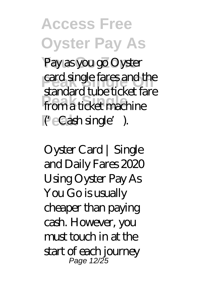**Access Free Oyster Pay As** Pay as you go Oyster card single fares and the **Peak Single** from a ticket machine **Peak** ('Cash single'). standard tube ticket fare

Oyster Card | Single and Daily Fares 2020 Using Oyster Pay As You Go is usually cheaper than paying cash. However, you must touch in at the start of each journey Page 12/25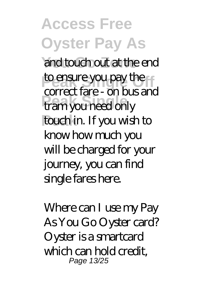**Access Free Oyster Pay As** and touch out at the end to ensure you pay the **Peak Single** tram you need only **Peak** touch in. If you wish to correct fare - on bus and know how much you will be charged for your journey, you can find single fares here.

Where can I use my Pay As You Go Oyster card? Oyster is a smartcard which can hold credit, Page 13/25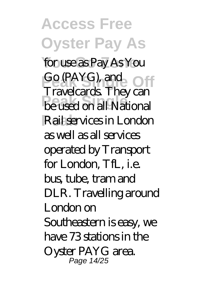**Access Free Oyster Pay As** for use as Pay As You Go (PAYG), and Off **Peak Single** be used on all National **Peak** Rail services in London Travelcards. They can as well as all services operated by Transport for London, TfL, i.e. bus, tube, tram and DLR. Travelling around London on Southeastern is easy, we have 73 stations in the Oyster PAYG area. Page 14/25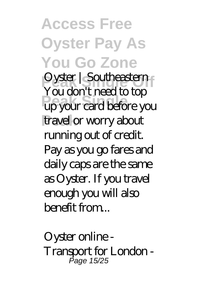**Access Free Oyster Pay As You Go Zone Pyster | Southeastern Peak Single** up your card before you travel or worry about You don't need to top running out of credit. Pay as you go fares and daily caps are the same as Oyster. If you travel enough you will also benefit from...

Oyster online - Transport for London - Page 15/25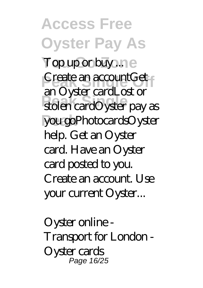**Access Free Oyster Pay As** Top up or buy ... ne **Peate an accountGet Peak Single** stolen cardOyster pay as **Peak** you goPhotocardsOyster an Oyster cardLost or help. Get an Oyster card. Have an Oyster card posted to you. Create an account. Use your current Oyster...

Oyster online - Transport for London - Oyster cards Page 16/25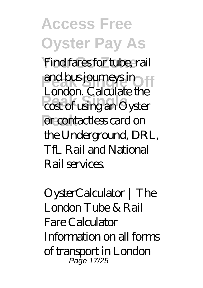**Access Free Oyster Pay As** Find fares for tube, rail and bus journeys in **Peaker:** Succaster and **Per contactless card on** London. Calculate the the Underground, DRL, TfL Rail and National Rail services.

OysterCalculator | The London Tube & Rail Fare Calculator Information on all forms of transport in London Page 17/25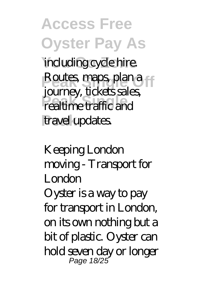**Access Free Oyster Pay As** including cycle hire. **Routes, maps, plan a** *Peaking*, denotes **Peak** travel updates. journey, tickets sales,

Keeping London moving - Transport for London Oyster is a way to pay for transport in London, on its own nothing but a bit of plastic. Oyster can hold seven day or longer Page 18/25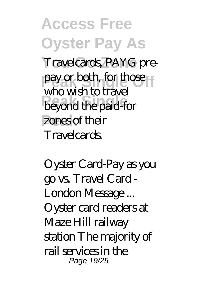**Access Free Oyster Pay As** Travelcards, PAYG prepay or both, for those **Personal the paid-for** zones of their who wish to travel **Travelcards** 

Oyster Card-Pay as you go vs. Travel Card - London Message ... Oyster card readers at Maze Hill railway station The majority of rail services in the Page 19/25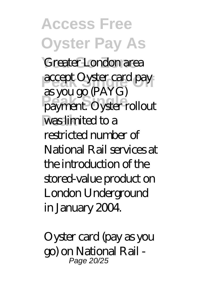**Access Free Oyster Pay As** Greater London area accept Oyster card pay **Peak Single** payment. Oyster rollout **Peak** was limited to a as you go (PAYG) restricted number of National Rail services at the introduction of the stored-value product on London Underground in January 2004.

Oyster card (pay as you go) on National Rail - Page 20/25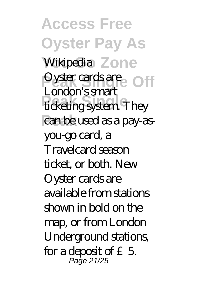**Access Free Oyster Pay As** Wikipedia Zone **Pyster cards are** Off **Peak Single Peak** can be used as a pay-as-London's smart you-go card, a Travelcard season ticket, or both. New Oyster cards are available from stations shown in bold on the map, or from London Underground stations, for a deposit of  $£5$ Page 21/25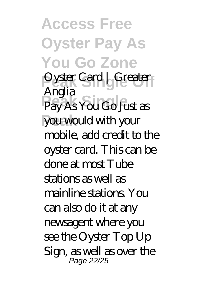**Access Free Oyster Pay As You Go Zone Pyster Card | Greater** Pay As You Go Just as **Peak** you would with your Anglia mobile, add credit to the oyster card. This can be done at most Tube stations as well as mainline stations. You can also do it at any newsagent where you see the Oyster Top Up Sign, as well as over the Page 22/25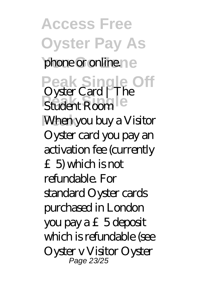**Access Free Oyster Pay As** phone or online.ne Peak Single Off<br>Oyster Card | The Student Room<sup>le</sup> **Peak** When you buy a Visitor Oyster card you pay an activation fee (currently £5) which is not refundable. For standard Oyster cards purchased in London you pay a  $£5$  deposit which is refundable (see Oyster v Visitor Oyster Page 23/25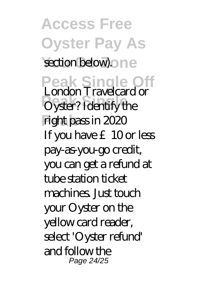**Access Free Oyster Pay As** section below).one **Peak Single Off** London Travelcard or **Peaker:** Travectore **Peak** right pass in 2020 If you have £10 or less pay-as-you-go credit, you can get a refund at tube station ticket machines. **Just touch** your Oyster on the yellow card reader, select 'Oyster refund' and follow the Page 24/25